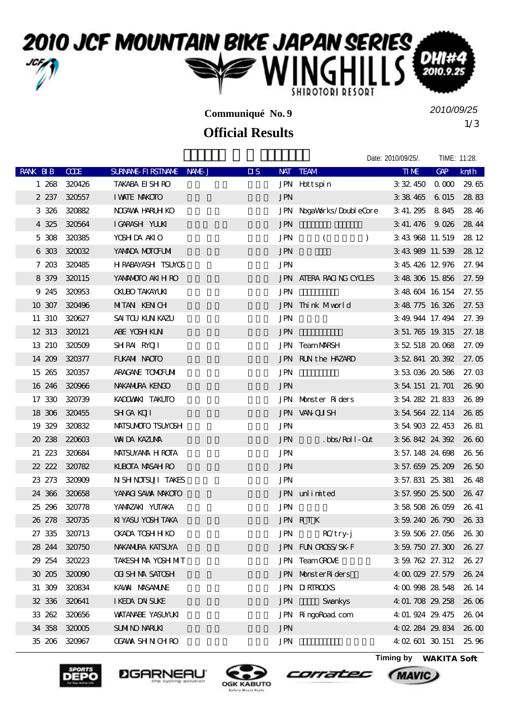

**Communiqué No. 9**

## **Official Results**

1/3 *2010/09/25*

Date: 2010/09/25/. TIME: 11:28.

| RANK BIB | CCE           | SURNAME FIRSTNAME NAME J | $\overline{\mathbf{u}}$ | NAT TEAM                       | <b>TIME</b>           | GAP               | $k$ m/h         |
|----------|---------------|--------------------------|-------------------------|--------------------------------|-----------------------|-------------------|-----------------|
| 1 268    | 320426        | <b>TAKABA EI SH RO</b>   |                         | JPN Hottspin                   | 3 32 450              | $\alpha$ $\alpha$ | 29.65           |
|          | 2 237 320557  | <b>I WATE MAKOTO</b>     | <b>JPN</b>              |                                | 3 38 465 6 015        |                   | 2883            |
| 3 3 2 6  | 320882        | NOGAWA HARLH KO          |                         | JPN NogaWorks/DoubleCore       | 3 41.295 8 845        |                   | 28.46           |
|          | 4 325 320564  | IGARASH YUUKI            | <b>JPN</b>              |                                | 3 41.476 9.026        |                   | 28.44           |
|          | 5 308 320385  | YOSH DA AKIO             | <b>JPN</b>              | $\left($<br>$\mathcal{L}$      | 3 43 968 11, 519      |                   | 28 12           |
|          | 6 303 320032  | YANADA MOTOFUMI          | <b>JPN</b>              |                                | 3 43 989 11.539       |                   | 28 12           |
| 7 203    | 320485        | <b>HRABAYASH TSUYOS</b>  | <b>JPN</b>              |                                | 3 45 426 12 976       |                   | 27.94           |
| 8 3 7 9  | 320115        | YANANOTO AKIH RO         |                         | <b>JPN ATERA RACING CYCLES</b> | 3 48 306 15 856       |                   | 27.59           |
| 9 245    | 320953        | <b>CKLBO TAKAYLKI</b>    | <b>JPN</b>              |                                | 3 48 604 16 154       |                   | 27.55           |
| 10 307   | 320496        | MITAN KENCH              |                         | JPN Think Mworld               | 3 48 775 16 326       |                   | 27.53           |
|          | 11 310 320627 | SAI TOU KUN KAZU         | <b>JPN</b>              |                                | 3:49.944 17.494       |                   | 27.39           |
|          | 12 313 320121 | ABE YOSH KLN             | <b>JPN</b>              |                                | 3 51 765 19 315       |                   | 27.18           |
| 13 210   | 320509        | SHRAI RYOJI              |                         | <b>JPN TeamMARSH</b>           | 3 52 518 20 068       |                   | 27.09           |
|          | 14 209 320377 | FUKAMI NAOTO             |                         | JPN RUN the HAZARD             | 3 52 841 20 392       |                   | 27. OE          |
| 15 265   | 320357        | ARACANE TOMOFUM          | <b>JPN</b>              |                                | 3 53 036 20 586       |                   | 27.03           |
| 16 246   | 320966        | NAKANIRA KENGO           | <b>JPN</b>              |                                | 3 54 151 21. 701      |                   | 26 90           |
| 17 330   | 320739        | KADOWAKI TAKUTO          |                         | JPN Monster Riders             | 3 54 282 21 833       |                   | 26.89           |
|          | 18 306 320455 | <b>SH GA KOJI</b>        |                         | JPN VAN QUSH                   | 3 54 564 22 114       |                   | 26.85           |
| 19 329   | 320832        | <b>MATSUMOTO TSUMOSH</b> | <b>JPN</b>              |                                | 3 54 903 22 453       |                   | 26, 81          |
|          | 20 238 220603 | <b>WILLY KAZUVA</b>      | <b>JPN</b>              | $.bbs/Rol1-0nt$                | 3 56 842 24 392       |                   | 26 <sub>6</sub> |
| 21 223   | 320684        | <b>MATSUYANA H ROTA</b>  | <b>JPN</b>              |                                | 3 57.148 24.698       |                   | 26.56           |
|          | 22 222 320782 | <b>KLBOTA MASAH RO</b>   | <b>JPN</b>              |                                | 3 57.659 25.209       |                   | 26.50           |
|          | 23 273 320909 | N SH NOTSUJI TAKES       | <b>JPN</b>              |                                | 3 57.831 25.381       |                   | 26.48           |
|          | 24 366 320658 | YANACI SAWA MAKOTO       |                         | JPN unlimited                  | 3 57.950 25.500       |                   | 26, 47          |
| 25 29 6  | 320778        | YANAZAKI YUTAKA          | <b>JPN</b>              |                                | 3 58 508 26 059       |                   | 26, 41          |
|          | 26 278 320735 | KI YASU YOSH TAKA        |                         | JPN RTK                        | 3 59 240 26 790       |                   | 26.33           |
|          | 27 335 320713 | <b>CKADA TOSH H KO</b>   | $\mbox{JPN}$            | $RC$ try-j                     | 3 59 506 27.056 26.30 |                   |                 |
|          | 28 244 320750 | <b>NAKAMURA KATSUYA</b>  |                         | JPN FUN OROSS/SK-F             | 3 59 750 27.300 26.27 |                   |                 |
|          | 29 254 320223 | TAKESH MA YOSH MIT       |                         | JPN TeamGROVE                  | 3 59 762 27 312       |                   | 26, 27          |
|          | 30 205 320000 | <b>OGI SH MA SATOSH</b>  |                         | JPN MonsterRiders              | 40002927.579          |                   | 26, 24          |
| 31 309   | 320834        | KAWAI MASAMUNE           |                         | <b>JPN DIRIROOKS</b>           | 4 00 998 28 548       |                   | 26, 14          |
|          | 32 336 320641 | I KEDA DAI SUKE          | <b>JPN</b>              | <b>Svankys</b>                 | 4: 01. 708 29. 258    |                   | 26.06           |
|          | 33 262 320656 | <b>WATANABE YASUMUKI</b> |                         | JPN RingoRoad.com              | 4: 01. 924 29. 475    |                   | 26 O            |
|          | 34 358 320005 | <b>SUMINO NARLKI</b>     | <b>JPN</b>              |                                | 4 02 284 29 834       |                   | $26 \alpha$     |
|          | 35 206 320967 | <b>OGAWA SHN CHRO</b>    | <b>JPN</b>              |                                | 4 02 601 30 151       |                   | 25.96           |







corratec



(MAVIC)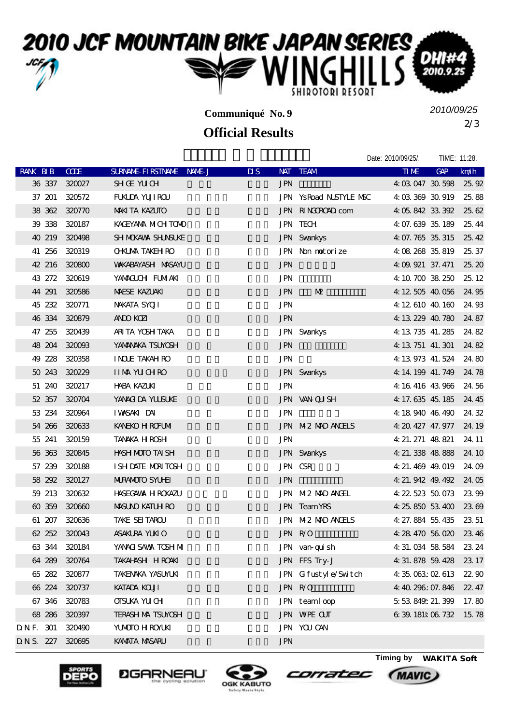### 2010 JCF MOUNTAIN BIKE JAPAN SERIES, NGH DH 2010.9 SHIROTORI RESORT

**Communiqué No. 9**

## **Official Results**

2/3 *2010/09/25*

Date: 2010/09/25/. TIME: 11:28.

| <b>RANK BIB</b> |        | <b>CODE</b>     | SURNAME FIRSTNAME NAME J | $\overline{\mathbf{u}}$ | NAT TEAM              | <b>TIME</b>               | GAP | km/h         |
|-----------------|--------|-----------------|--------------------------|-------------------------|-----------------------|---------------------------|-----|--------------|
|                 |        | 36 337 320027   | <b>SHOE YUCH</b>         | <b>JPN</b>              |                       | 4:03:047 30:598 25:92     |     |              |
|                 | 37 201 | 320572          | FUKUDA YUJI ROU          |                         | JPN YsRoad NSTYLE NSC | 4 03 369 30 919           |     | 25,88        |
|                 |        | 38 362 320770   | <b>MAKITA KAZUTO</b>     |                         | JPN RINGOROAD com     | 4 05 842 33 392 25 62     |     |              |
|                 |        | 39 338 320187   | KACEYANA MICH TOMO       |                         | <b>JPN TECH</b>       | 4 07 639 35 189           |     | 25.44        |
|                 |        | 40 219 320498   | SH MOKAWA SHANSUKE       |                         | <b>JPN</b> Svankys    | 4 07.765 35.315           |     | 25, 42       |
|                 |        | 41 256 320319   | <b>OHUMA TAKEH RO</b>    |                         | JPN Non notorize      | 4 08 268 35 819 25 37     |     |              |
|                 |        | 42 216 320800   | <b>WAKABAYASH MASAYU</b> | <b>JPN</b>              |                       | 4: 09. 921 37. 471        |     | 25, 20       |
|                 | 43 272 | 320619          | YANACUCH FUMAKI          | <b>JPN</b>              |                       | 4:10.700 38.250           |     | 25, 12       |
|                 | 44 291 | 320586          | <b>MAESE KAZUAKI</b>     | <b>JPN</b>              | M                     | 4:12,505,40,056           |     | 24.95        |
|                 |        | 45 232 320771   | NAKATA SYOJI             | <b>JPN</b>              |                       | 4 12 610 40 160 24 93     |     |              |
|                 |        | 46 334 320879   | <b>ANDO KOZI</b>         | <b>JPN</b>              |                       | 4: 13 229 40 780 24 87    |     |              |
|                 | 47 255 | 320439          | ARITA YOSH TAKA          |                         | <b>JPN</b> Svankys    | 4: 13, 735, 41, 285       |     | 24.82        |
|                 |        | 48 204 320003   | YANANAKA TSUYOSH         | <b>JPN</b>              |                       | 4: 13 751 41, 301         |     | 24.82        |
|                 |        | 49 228 320358   | <b>INCLE TAKAH RO</b>    | <b>JPN</b>              |                       | 4: 13 973 41, 524         |     | 24.80        |
|                 | 50 243 | 320229          | <b>IIMM YUCHRO</b>       |                         | <b>JPN</b> Svankys    | 4: 14: 199 41. 749        |     | 24.78        |
|                 |        | 51 240 320217   | HABA KAZUKI              | <b>JPN</b>              |                       | 4:16:416:43:966 24:56     |     |              |
|                 |        | 52 357 320704   | YANACIDA YUUSUKE         |                         | JPN VAN QUISH         | 4: 17. 635 45. 185        |     | 24.45        |
|                 |        | 53 234 320964   | IWASAKIDAI               | JPN                     |                       | 4:18 940 46:490           |     | 24.32        |
|                 |        | 54 266 320633   | KANEKO H ROFUMI          |                         | JPN M2 MAD ANGELS     | 4: 20. 427 47. 977 24. 19 |     |              |
|                 |        | 55 241 320159   | TANAKA HROSH             | <b>JPN</b>              |                       | 4 21 271 48 821           |     | 24.11        |
|                 |        | 56 363 320845   | HASH MOTO TAI SH         |                         | <b>JPN</b> Svankys    | 4 21 338 48 888           |     | 24 10        |
|                 | 57 239 | 320188          | I SH DATE MORTOSH        |                         | JPN CSR               | 4: 21, 469 49, 019        |     | 24.09        |
|                 |        | 58 292 320127   | <b>MIRANOTO SYLHET</b>   | <b>JPN</b>              |                       | 4: 21. 942 49. 492 24. 05 |     |              |
|                 |        | 59 213 320632   | <b>HASEGAWA H ROKAZU</b> |                         | JPN M2 MAD ANGEL      | 4 22 523 50 073           |     | 23.99        |
|                 | 60 359 | 320660          | <b>MASUNO KATUH RO</b>   |                         | JPN Team YRS          | 4 25 850 53 400           |     | 2369         |
|                 |        | 61 207 320636   | TAKE SEI TAROU           |                         | JPN M2 MAD ANGELS     | 4 27 884 55 435 23 51     |     |              |
|                 |        | 62 252 320043   | <b>ASAKLRA YUKIO</b>     |                         | JPN R/O               | 4:28.470 56.020 23.46     |     |              |
|                 |        | 63 344 320184   | YANACI SAWA TOSH MI      |                         | JPN van-quish         | 4: 31. 034 58 584 23. 24  |     |              |
|                 |        | 64 289 320764   | TAKAHASH HROAKI          |                         | JPN FFS Try-J         | 4: 31.878 59.428 23.17    |     |              |
|                 | 65 282 | 320877          | <b>TAKENAKA YASUMUKI</b> |                         | JPN Gifustyle/Switch  | 4 35 063:02 613           |     | <b>22 90</b> |
|                 |        | 66 224 320737   | <b>KATADA KOUI</b>       |                         | JPN R/O               | 4 40 296: 07.846          |     | 22.47        |
|                 |        | 67 346 320783   | <b>OISUKA YU CH</b>      |                         | JPN teamloop          | 5 53 849 21.399           |     | 17.80        |
|                 | 68 286 | 320397          | <b>TERASH MA TSUYOSH</b> |                         | <b>JPN WPE CUT</b>    | 6 39 181 06 732           |     | 15.78        |
| DNF. 301        |        | 320490          | YUMOTO H ROYUKI          |                         | <b>JPN YOU CAN</b>    |                           |     |              |
|                 |        | DNS. 227 320695 | <b>KAMATA MASARU</b>     | <b>JPN</b>              |                       |                           |     |              |
|                 |        |                 |                          |                         |                       |                           |     |              |







corratec



**MAVIC**